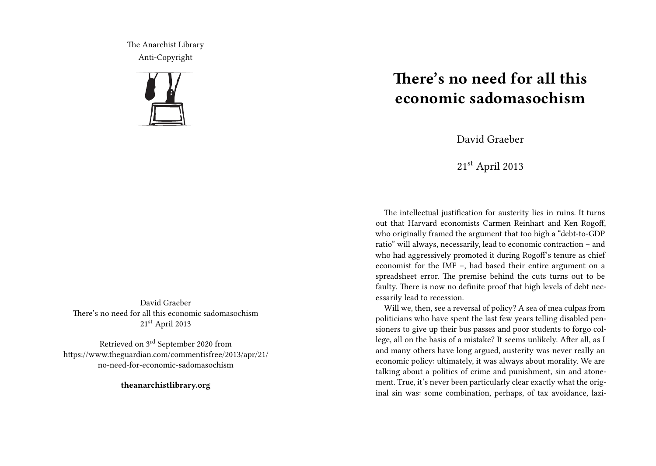The Anarchist Library Anti-Copyright



David Graeber There's no need for all this economic sadomasochism 21st April 2013

Retrieved on 3rd September 2020 from https://www.theguardian.com/commentisfree/2013/apr/21/ no-need-for-economic-sadomasochism

**theanarchistlibrary.org**

## **There's no need for all this economic sadomasochism**

David Graeber

21st April 2013

The intellectual justification for austerity lies in ruins. It turns out that Harvard economists Carmen Reinhart and Ken Rogoff, who originally framed the argument that too high a "debt-to-GDP ratio" will always, necessarily, lead to economic contraction – and who had aggressively promoted it during Rogoff's tenure as chief economist for the IMF –, had based their entire argument on a spreadsheet error. The premise behind the cuts turns out to be faulty. There is now no definite proof that high levels of debt necessarily lead to recession.

Will we, then, see a reversal of policy? A sea of mea culpas from politicians who have spent the last few years telling disabled pensioners to give up their bus passes and poor students to forgo college, all on the basis of a mistake? It seems unlikely. After all, as I and many others have long argued, austerity was never really an economic policy: ultimately, it was always about morality. We are talking about a politics of crime and punishment, sin and atonement. True, it's never been particularly clear exactly what the original sin was: some combination, perhaps, of tax avoidance, lazi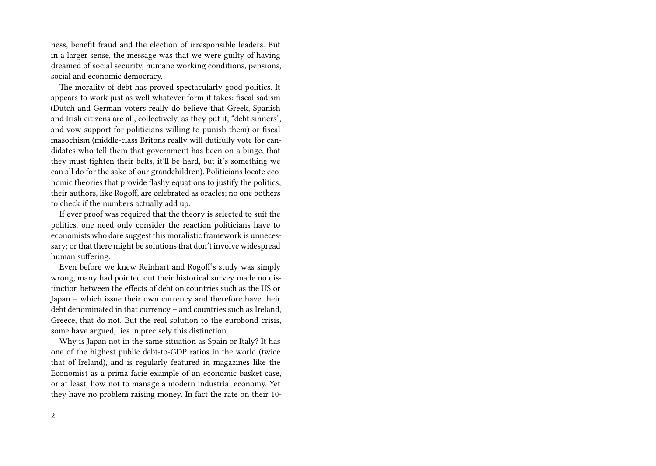ness, benefit fraud and the election of irresponsible leaders. But in a larger sense, the message was that we were guilty of having dreamed of social security, humane working conditions, pensions, social and economic democracy.

The morality of debt has proved spectacularly good politics. It appears to work just as well whatever form it takes: fiscal sadism (Dutch and German voters really do believe that Greek, Spanish and Irish citizens are all, collectively, as they put it, "debt sinners", and vow support for politicians willing to punish them) or fiscal masochism (middle-class Britons really will dutifully vote for candidates who tell them that government has been on a binge, that they must tighten their belts, it'll be hard, but it's something we can all do for the sake of our grandchildren). Politicians locate economic theories that provide flashy equations to justify the politics; their authors, like Rogoff, are celebrated as oracles; no one bothers to check if the numbers actually add up.

If ever proof was required that the theory is selected to suit the politics, one need only consider the reaction politicians have to economists who dare suggest this moralistic framework is unnecessary; or that there might be solutions that don't involve widespread human suffering.

Even before we knew Reinhart and Rogoff's study was simply wrong, many had pointed out their historical survey made no distinction between the effects of debt on countries such as the US or Japan – which issue their own currency and therefore have their debt denominated in that currency – and countries such as Ireland, Greece, that do not. But the real solution to the eurobond crisis, some have argued, lies in precisely this distinction.

Why is Japan not in the same situation as Spain or Italy? It has one of the highest public debt-to-GDP ratios in the world (twice that of Ireland), and is regularly featured in magazines like the Economist as a prima facie example of an economic basket case, or at least, how not to manage a modern industrial economy. Yet they have no problem raising money. In fact the rate on their 10-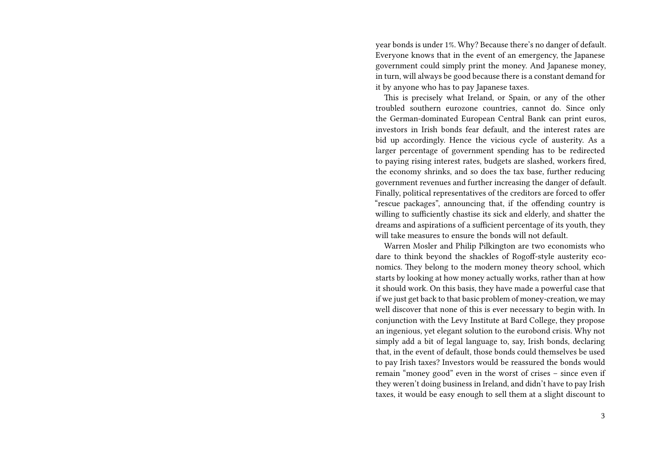year bonds is under 1%. Why? Because there's no danger of default. Everyone knows that in the event of an emergency, the Japanese government could simply print the money. And Japanese money, in turn, will always be good because there is a constant demand for it by anyone who has to pay Japanese taxes.

This is precisely what Ireland, or Spain, or any of the other troubled southern eurozone countries, cannot do. Since only the German-dominated European Central Bank can print euros, investors in Irish bonds fear default, and the interest rates are bid up accordingly. Hence the vicious cycle of austerity. As a larger percentage of government spending has to be redirected to paying rising interest rates, budgets are slashed, workers fired, the economy shrinks, and so does the tax base, further reducing government revenues and further increasing the danger of default. Finally, political representatives of the creditors are forced to offer "rescue packages", announcing that, if the offending country is willing to sufficiently chastise its sick and elderly, and shatter the dreams and aspirations of a sufficient percentage of its youth, they will take measures to ensure the bonds will not default.

Warren Mosler and Philip Pilkington are two economists who dare to think beyond the shackles of Rogoff-style austerity economics. They belong to the modern money theory school, which starts by looking at how money actually works, rather than at how it should work. On this basis, they have made a powerful case that if we just get back to that basic problem of money-creation, we may well discover that none of this is ever necessary to begin with. In conjunction with the Levy Institute at Bard College, they propose an ingenious, yet elegant solution to the eurobond crisis. Why not simply add a bit of legal language to, say, Irish bonds, declaring that, in the event of default, those bonds could themselves be used to pay Irish taxes? Investors would be reassured the bonds would remain "money good" even in the worst of crises – since even if they weren't doing business in Ireland, and didn't have to pay Irish taxes, it would be easy enough to sell them at a slight discount to